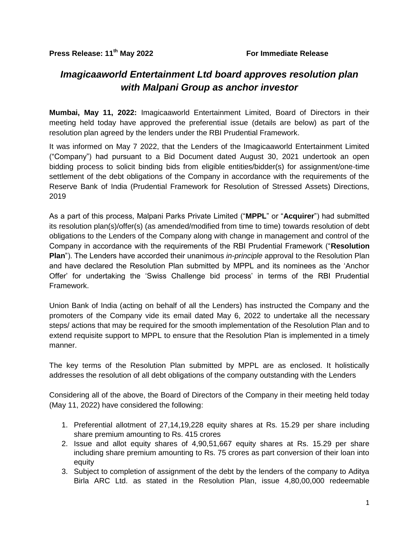## *Imagicaaworld Entertainment Ltd board approves resolution plan with Malpani Group as anchor investor*

**Mumbai, May 11, 2022:** Imagicaaworld Entertainment Limited, Board of Directors in their meeting held today have approved the preferential issue (details are below) as part of the resolution plan agreed by the lenders under the RBI Prudential Framework.

It was informed on May 7 2022, that the Lenders of the Imagicaaworld Entertainment Limited ("Company") had pursuant to a Bid Document dated August 30, 2021 undertook an open bidding process to solicit binding bids from eligible entities/bidder(s) for assignment/one-time settlement of the debt obligations of the Company in accordance with the requirements of the Reserve Bank of India (Prudential Framework for Resolution of Stressed Assets) Directions, 2019

As a part of this process, Malpani Parks Private Limited ("**MPPL**" or "**Acquirer**") had submitted its resolution plan(s)/offer(s) (as amended/modified from time to time) towards resolution of debt obligations to the Lenders of the Company along with change in management and control of the Company in accordance with the requirements of the RBI Prudential Framework ("**Resolution Plan**"). The Lenders have accorded their unanimous *in-principle* approval to the Resolution Plan and have declared the Resolution Plan submitted by MPPL and its nominees as the "Anchor Offer" for undertaking the "Swiss Challenge bid process" in terms of the RBI Prudential Framework.

Union Bank of India (acting on behalf of all the Lenders) has instructed the Company and the promoters of the Company vide its email dated May 6, 2022 to undertake all the necessary steps/ actions that may be required for the smooth implementation of the Resolution Plan and to extend requisite support to MPPL to ensure that the Resolution Plan is implemented in a timely manner.

The key terms of the Resolution Plan submitted by MPPL are as enclosed. It holistically addresses the resolution of all debt obligations of the company outstanding with the Lenders

Considering all of the above, the Board of Directors of the Company in their meeting held today (May 11, 2022) have considered the following:

- 1. Preferential allotment of 27,14,19,228 equity shares at Rs. 15.29 per share including share premium amounting to Rs. 415 crores
- 2. Issue and allot equity shares of 4,90,51,667 equity shares at Rs. 15.29 per share including share premium amounting to Rs. 75 crores as part conversion of their loan into equity
- 3. Subject to completion of assignment of the debt by the lenders of the company to Aditya Birla ARC Ltd. as stated in the Resolution Plan, issue 4,80,00,000 redeemable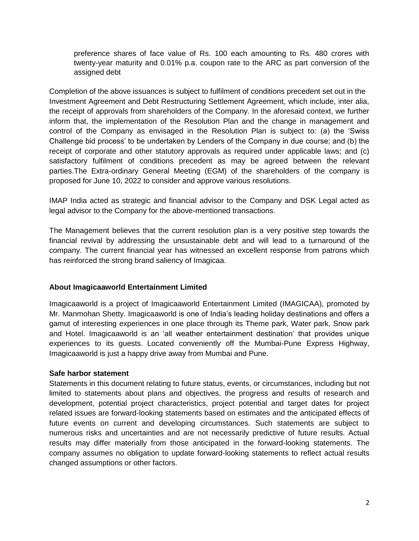preference shares of face value of Rs. 100 each amounting to Rs. 480 crores with twenty-year maturity and 0.01% p.a. coupon rate to the ARC as part conversion of the assigned debt

Completion of the above issuances is subject to fulfilment of conditions precedent set out in the Investment Agreement and Debt Restructuring Settlement Agreement, which include, inter alia, the receipt of approvals from shareholders of the Company. In the aforesaid context, we further inform that, the implementation of the Resolution Plan and the change in management and control of the Company as envisaged in the Resolution Plan is subject to: (a) the "Swiss Challenge bid process" to be undertaken by Lenders of the Company in due course; and (b) the receipt of corporate and other statutory approvals as required under applicable laws; and (c) satisfactory fulfilment of conditions precedent as may be agreed between the relevant parties.The Extra-ordinary General Meeting (EGM) of the shareholders of the company is proposed for June 10, 2022 to consider and approve various resolutions.

IMAP India acted as strategic and financial advisor to the Company and DSK Legal acted as legal advisor to the Company for the above-mentioned transactions.

The Management believes that the current resolution plan is a very positive step towards the financial revival by addressing the unsustainable debt and will lead to a turnaround of the company. The current financial year has witnessed an excellent response from patrons which has reinforced the strong brand saliency of Imagicaa.

## **About Imagicaaworld Entertainment Limited**

Imagicaaworld is a project of Imagicaaworld Entertainment Limited (IMAGICAA), promoted by Mr. Manmohan Shetty. Imagicaaworld is one of India"s leading holiday destinations and offers a gamut of interesting experiences in one place through its Theme park, Water park, Snow park and Hotel. Imagicaaworld is an "all weather entertainment destination" that provides unique experiences to its guests. Located conveniently off the Mumbai-Pune Express Highway, Imagicaaworld is just a happy drive away from Mumbai and Pune.

## **Safe harbor statement**

Statements in this document relating to future status, events, or circumstances, including but not limited to statements about plans and objectives, the progress and results of research and development, potential project characteristics, project potential and target dates for project related issues are forward-looking statements based on estimates and the anticipated effects of future events on current and developing circumstances. Such statements are subject to numerous risks and uncertainties and are not necessarily predictive of future results. Actual results may differ materially from those anticipated in the forward-looking statements. The company assumes no obligation to update forward-looking statements to reflect actual results changed assumptions or other factors.